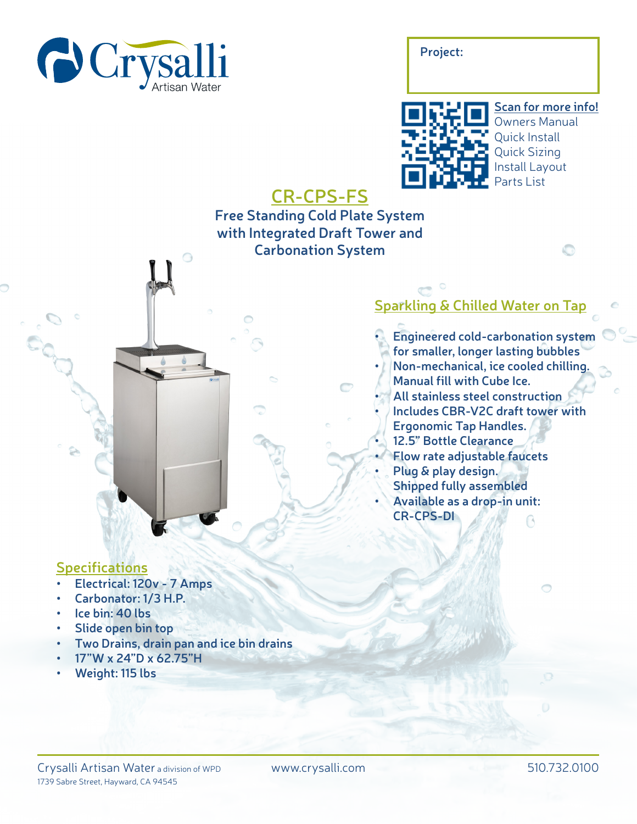

**Project:**



# **CR-CPS-FS**

## **Free Standing Cold Plate System with Integrated Draft Tower and Carbonation System**

## **Sparkling & Chilled Water on Tap**

**• Engineered cold-carbonation system for smaller, longer lasting bubbles • Non-mechanical, ice cooled chilling. Manual fill with Cube Ice. • All stainless steel construction • Includes CBR-V2C draft tower with Ergonomic Tap Handles. • 12.5" Bottle Clearance • Flow rate adjustable faucets • Plug & play design. Shipped fully assembled • Available as a drop-in unit: CR-CPS-DI**

A

#### **Specifications**

- **• Electrical: 120v 7 Amps**
- **• Carbonator: 1/3 H.P.**
- **• Ice bin: 40 lbs**
- **• Slide open bin top**
- **• Two Drains, drain pan and ice bin drains**

 $\bigcirc$ 

- **• 17"W x 24"D x 62.75"H**
- **• Weight: 115 lbs**

#### Crysalli Artisan Water a division of WPD 1739 Sabre Street, Hayward, CA 94545

www.crysalli.com 510.732.0100